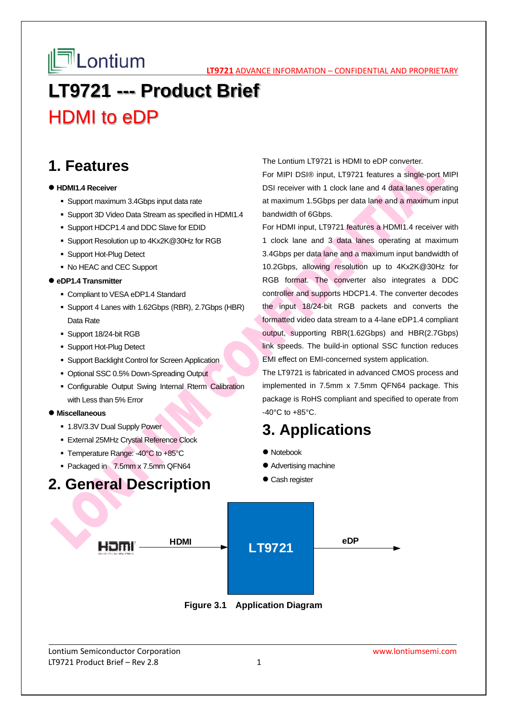**LATE LONTIUM** 

# **LT9721 --- Product Brief**  HDMI to eDP

### **1. Features**

#### **HDMI1.4 Receiver**

- Support maximum 3.4Gbps input data rate
- Support 3D Video Data Stream as specified in HDMI1.4
- Support HDCP1.4 and DDC Slave for EDID
- Support Resolution up to 4Kx2K@30Hz for RGB
- **Support Hot-Plug Detect**
- No HEAC and CEC Support

#### **eDP1.4 Transmitter**

- Compliant to VESA eDP1.4 Standard
- Support 4 Lanes with 1.62Gbps (RBR), 2.7Gbps (HBR) Data Rate
- Support 18/24-bit RGB
- **Support Hot-Plug Detect**
- Support Backlight Control for Screen Application
- Optional SSC 0.5% Down-Spreading Output
- Configurable Output Swing Internal Rterm Calibration with Less than 5% Error

#### **Miscellaneous**

- 1.8V/3.3V Dual Supply Power
- External 25MHz Crystal Reference Clock
- Temperature Range: -40°C to +85°C
- Packaged in 7.5mm x 7.5mm QFN64

### **2. General Description**

#### The Lontium LT9721 is HDMI to eDP converter.

For MIPI DSI® input, LT9721 features a single-port MIPI DSI receiver with 1 clock lane and 4 data lanes operating at maximum 1.5Gbps per data lane and a maximum input bandwidth of 6Gbps.

For HDMI input, LT9721 features a HDMI1.4 receiver with 1 clock lane and 3 data lanes operating at maximum 3.4Gbps per data lane and a maximum input bandwidth of 10.2Gbps, allowing resolution up to 4Kx2K@30Hz for RGB format. The converter also integrates a DDC controller and supports HDCP1.4. The converter decodes the input 18/24-bit RGB packets and converts the formatted video data stream to a 4-lane eDP1.4 compliant output, supporting RBR(1.62Gbps) and HBR(2.7Gbps) link speeds. The build-in optional SSC function reduces EMI effect on EMI-concerned system application.

The LT9721 is fabricated in advanced CMOS process and implemented in 7.5mm x 7.5mm QFN64 package. This package is RoHS compliant and specified to operate from -40°C to +85°C.

### **3. Applications**

- Notebook
- Advertising machine
- Cash register



**Figure 3.1 Application Diagram**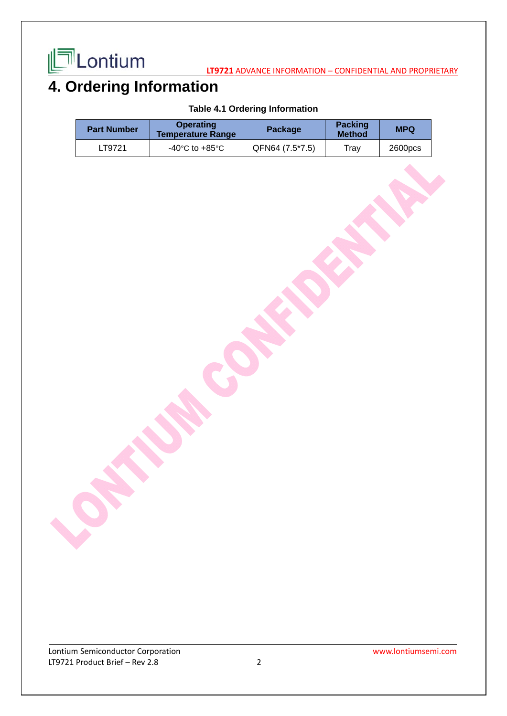

## **4. Ordering Information**

### **Table 4.1 Ordering Information**

| <b>Part Number</b> | <b>Operating</b><br><b>Temperature Range</b> | Package         | <b>Packing</b><br><b>Method</b> | <b>MPQ</b>         |
|--------------------|----------------------------------------------|-----------------|---------------------------------|--------------------|
| LT9721             | -40°C to +85°C                               | QFN64 (7.5*7.5) | Trav                            | 2600 <sub>pc</sub> |